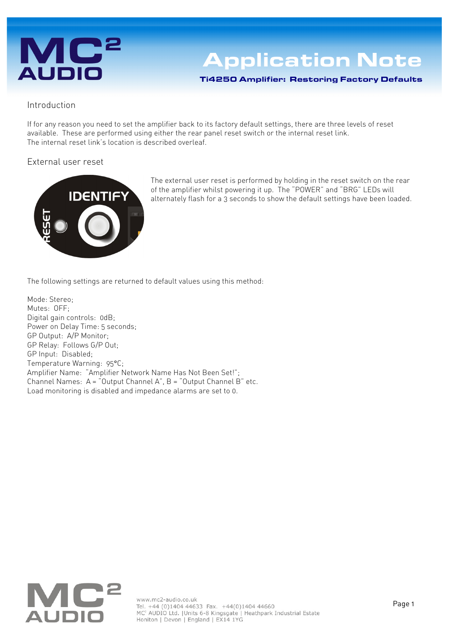# **AUDIO**

## **Application Note**

Ti4250 Amplifier: Restoring Factory Defaults

### Introduction

If for any reason you need to set the amplifier back to its factory default settings, there are three levels of reset available. These are performed using either the rear panel reset switch or the internal reset link. The internal reset link's location is described overleaf.

### External user reset



The external user reset is performed by holding in the reset switch on the rear of the amplifier whilst powering it up. The "POWER" and "BRG" LEDs will alternately flash for a 3 seconds to show the default settings have been loaded.

The following settings are returned to default values using this method:

Mode: Stereo; Mutes: OFF; Digital gain controls: 0dB; Power on Delay Time: 5 seconds; GP Output: A/P Monitor; GP Relay: Follows G/P Out; GP Input: Disabled; Temperature Warning: 95°C; Amplifier Name: "Amplifier Network Name Has Not Been Set!"; Channel Names: A = "Output Channel A", B = "Output Channel B" etc. Load monitoring is disabled and impedance alarms are set to 0.